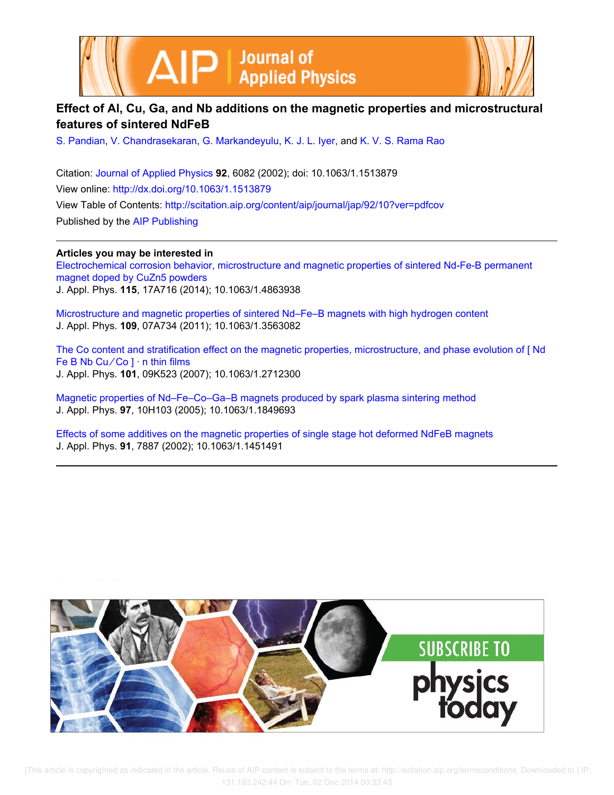



## **Effect of Al, Cu, Ga, and Nb additions on the magnetic properties and microstructural features of sintered NdFeB**

S. Pandian, V. Chandrasekaran, G. Markandeyulu, K. J. L. Iyer, and K. V. S. Rama Rao

Citation: Journal of Applied Physics **92**, 6082 (2002); doi: 10.1063/1.1513879 View online: http://dx.doi.org/10.1063/1.1513879 View Table of Contents: http://scitation.aip.org/content/aip/journal/jap/92/10?ver=pdfcov Published by the AIP Publishing

**Articles you may be interested in** Electrochemical corrosion behavior, microstructure and magnetic properties of sintered Nd-Fe-B permanent magnet doped by CuZn5 powders J. Appl. Phys. **115**, 17A716 (2014); 10.1063/1.4863938

Microstructure and magnetic properties of sintered Nd–Fe–B magnets with high hydrogen content J. Appl. Phys. **109**, 07A734 (2011); 10.1063/1.3563082

The Co content and stratification effect on the magnetic properties, microstructure, and phase evolution of [ Nd Fe B Nb Cu/Co ] ⋅ n thin films J. Appl. Phys. **101**, 09K523 (2007); 10.1063/1.2712300

Magnetic properties of Nd–Fe–Co–Ga–B magnets produced by spark plasma sintering method J. Appl. Phys. **97**, 10H103 (2005); 10.1063/1.1849693

Effects of some additives on the magnetic properties of single stage hot deformed NdFeB magnets J. Appl. Phys. **91**, 7887 (2002); 10.1063/1.1451491

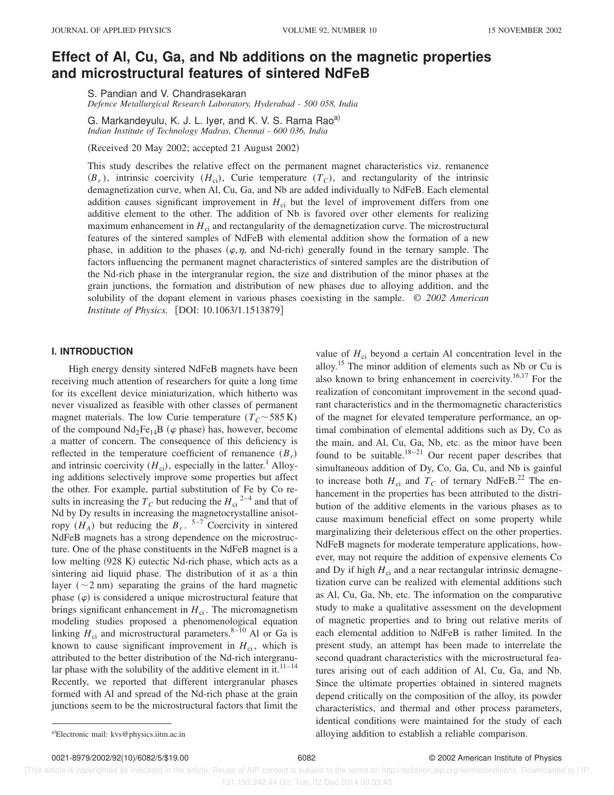# **Effect of Al, Cu, Ga, and Nb additions on the magnetic properties and microstructural features of sintered NdFeB**

S. Pandian and V. Chandrasekaran *Defence Metallurgical Research Laboratory, Hyderabad - 500 058, India*

G. Markandeyulu, K. J. L. Iyer, and K. V. S. Rama Rao<sup>a)</sup> *Indian Institute of Technology Madras, Chennai - 600 036, India*

(Received 20 May 2002; accepted 21 August 2002)

This study describes the relative effect on the permanent magnet characteristics viz. remanence  $(B_r)$ , intrinsic coercivity  $(H_{ci})$ , Curie temperature  $(T_c)$ , and rectangularity of the intrinsic demagnetization curve, when Al, Cu, Ga, and Nb are added individually to NdFeB. Each elemental addition causes significant improvement in  $H<sub>ci</sub>$  but the level of improvement differs from one additive element to the other. The addition of Nb is favored over other elements for realizing maximum enhancement in  $H_{ci}$  and rectangularity of the demagnetization curve. The microstructural features of the sintered samples of NdFeB with elemental addition show the formation of a new phase, in addition to the phases  $(\varphi, \eta)$ , and Nd-rich) generally found in the ternary sample. The factors influencing the permanent magnet characteristics of sintered samples are the distribution of the Nd-rich phase in the intergranular region, the size and distribution of the minor phases at the grain junctions, the formation and distribution of new phases due to alloying addition, and the solubility of the dopant element in various phases coexisting in the sample. © *2002 American Institute of Physics.* [DOI: 10.1063/1.1513879]

## **I. INTRODUCTION**

High energy density sintered NdFeB magnets have been receiving much attention of researchers for quite a long time for its excellent device miniaturization, which hitherto was never visualized as feasible with other classes of permanent magnet materials. The low Curie temperature  $(T_C \sim 585 \text{ K})$ of the compound  $Nd_2Fe_{14}B$  ( $\varphi$  phase) has, however, become a matter of concern. The consequence of this deficiency is reflected in the temperature coefficient of remanence  $(B<sub>r</sub>)$ and intrinsic coercivity  $(H<sub>ci</sub>)$ , especially in the latter.<sup>1</sup> Alloying additions selectively improve some properties but affect the other. For example, partial substitution of Fe by Co results in increasing the  $T_C$  but reducing the  $H_{ci}^{2-4}$  and that of Nd by Dy results in increasing the magnetocrystalline anisotropy  $(H_A)$  but reducing the  $B_r$ . <sup>5-7</sup> Coercivity in sintered NdFeB magnets has a strong dependence on the microstructure. One of the phase constituents in the NdFeB magnet is a low melting (928 K) eutectic Nd-rich phase, which acts as a sintering aid liquid phase. The distribution of it as a thin layer ( $\sim$ 2 nm) separating the grains of the hard magnetic phase  $(\varphi)$  is considered a unique microstructural feature that brings significant enhancement in  $H_{ci}$ . The micromagnetism modeling studies proposed a phenomenological equation linking  $H_{ci}$  and microstructural parameters.<sup>8–10</sup> Al or Ga is known to cause significant improvement in  $H_{ci}$ , which is attributed to the better distribution of the Nd-rich intergranular phase with the solubility of the additive element in it.<sup>11-14</sup> Recently, we reported that different intergranular phases formed with Al and spread of the Nd-rich phase at the grain junctions seem to be the microstructural factors that limit the

value of  $H_{ci}$  beyond a certain Al concentration level in the alloy.<sup>15</sup> The minor addition of elements such as Nb or Cu is also known to bring enhancement in coercivity.<sup>16,17</sup> For the realization of concomitant improvement in the second quadrant characteristics and in the thermomagnetic characteristics of the magnet for elevated temperature performance, an optimal combination of elemental additions such as Dy, Co as the main, and Al, Cu, Ga, Nb, etc. as the minor have been found to be suitable.<sup>18-21</sup> Our recent paper describes that simultaneous addition of Dy, Co, Ga, Cu, and Nb is gainful to increase both  $H_{ci}$  and  $T_C$  of ternary NdFeB.<sup>22</sup> The enhancement in the properties has been attributed to the distribution of the additive elements in the various phases as to cause maximum beneficial effect on some property while marginalizing their deleterious effect on the other properties. NdFeB magnets for moderate temperature applications, however, may not require the addition of expensive elements Co and Dy if high  $H_{ci}$  and a near rectangular intrinsic demagnetization curve can be realized with elemental additions such as Al, Cu, Ga, Nb, etc. The information on the comparative study to make a qualitative assessment on the development of magnetic properties and to bring out relative merits of each elemental addition to NdFeB is rather limited. In the present study, an attempt has been made to interrelate the second quadrant characteristics with the microstructural features arising out of each addition of Al, Cu, Ga, and Nb. Since the ultimate properties obtained in sintered magnets depend critically on the composition of the alloy, its powder characteristics, and thermal and other process parameters, identical conditions were maintained for the study of each a)Electronic mail: kvs@physics.iitm.ac.in a reliable comparison.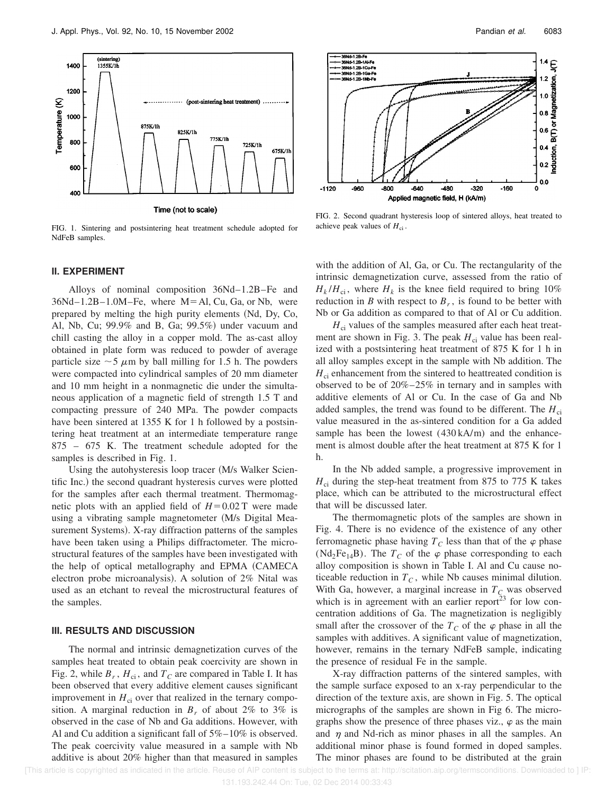

Time (not to scale)

FIG. 1. Sintering and postsintering heat treatment schedule adopted for NdFeB samples.

## **II. EXPERIMENT**

Alloys of nominal composition 36Nd–1.2B–Fe and  $36Nd-1.2B-1.0M-Fe$ , where  $M=Al$ , Cu, Ga, or Nb, were prepared by melting the high purity elements (Nd, Dy, Co, Al, Nb, Cu; 99.9% and B, Ga; 99.5%) under vacuum and chill casting the alloy in a copper mold. The as-cast alloy obtained in plate form was reduced to powder of average particle size  $\sim$  5  $\mu$ m by ball milling for 1.5 h. The powders were compacted into cylindrical samples of 20 mm diameter and 10 mm height in a nonmagnetic die under the simultaneous application of a magnetic field of strength 1.5 T and compacting pressure of 240 MPa. The powder compacts have been sintered at 1355 K for 1 h followed by a postsintering heat treatment at an intermediate temperature range 875 – 675 K. The treatment schedule adopted for the samples is described in Fig. 1.

Using the autohysteresis loop tracer (M/s Walker Scientific Inc.) the second quadrant hysteresis curves were plotted for the samples after each thermal treatment. Thermomagnetic plots with an applied field of  $H=0.02$  T were made using a vibrating sample magnetometer (M/s Digital Measurement Systems). X-ray diffraction patterns of the samples have been taken using a Philips diffractometer. The microstructural features of the samples have been investigated with the help of optical metallography and EPMA (CAMECA electron probe microanalysis). A solution of 2% Nital was used as an etchant to reveal the microstructural features of the samples.

### **III. RESULTS AND DISCUSSION**

The normal and intrinsic demagnetization curves of the samples heat treated to obtain peak coercivity are shown in Fig. 2, while  $B_r$ ,  $H_{ci}$ , and  $T_c$  are compared in Table I. It has been observed that every additive element causes significant improvement in  $H_{\text{ci}}$  over that realized in the ternary composition. A marginal reduction in  $B_r$  of about 2% to 3% is observed in the case of Nb and Ga additions. However, with Al and Cu addition a significant fall of 5%–10% is observed. The peak coercivity value measured in a sample with Nb additive is about 20% higher than that measured in samples



FIG. 2. Second quadrant hysteresis loop of sintered alloys, heat treated to achieve peak values of  $H_{ci}$ .

with the addition of Al, Ga, or Cu. The rectangularity of the intrinsic demagnetization curve, assessed from the ratio of  $H_k/H_{ci}$ , where  $H_k$  is the knee field required to bring 10% reduction in *B* with respect to  $B_r$ , is found to be better with Nb or Ga addition as compared to that of Al or Cu addition.

 $H_{\rm ci}$  values of the samples measured after each heat treatment are shown in Fig. 3. The peak  $H_{ci}$  value has been realized with a postsintering heat treatment of 875 K for 1 h in all alloy samples except in the sample with Nb addition. The  $H<sub>ci</sub>$  enhancement from the sintered to heattreated condition is observed to be of 20%–25% in ternary and in samples with additive elements of Al or Cu. In the case of Ga and Nb added samples, the trend was found to be different. The  $H_{ci}$ value measured in the as-sintered condition for a Ga added sample has been the lowest  $(430 kA/m)$  and the enhancement is almost double after the heat treatment at 875 K for 1 h.

In the Nb added sample, a progressive improvement in  $H_{\text{ci}}$  during the step-heat treatment from 875 to 775 K takes place, which can be attributed to the microstructural effect that will be discussed later.

The thermomagnetic plots of the samples are shown in Fig. 4. There is no evidence of the existence of any other ferromagnetic phase having  $T_c$  less than that of the  $\varphi$  phase (Nd<sub>2</sub>Fe<sub>14</sub>B). The  $T_C$  of the  $\varphi$  phase corresponding to each alloy composition is shown in Table I. Al and Cu cause noticeable reduction in  $T_c$ , while Nb causes minimal dilution. With Ga, however, a marginal increase in  $T_c$  was observed which is in agreement with an earlier report<sup>23</sup> for low concentration additions of Ga. The magnetization is negligibly small after the crossover of the  $T_c$  of the  $\varphi$  phase in all the samples with additives. A significant value of magnetization, however, remains in the ternary NdFeB sample, indicating the presence of residual Fe in the sample.

X-ray diffraction patterns of the sintered samples, with the sample surface exposed to an x-ray perpendicular to the direction of the texture axis, are shown in Fig. 5. The optical micrographs of the samples are shown in Fig 6. The micrographs show the presence of three phases viz.,  $\varphi$  as the main and  $\eta$  and Nd-rich as minor phases in all the samples. An additional minor phase is found formed in doped samples. The minor phases are found to be distributed at the grain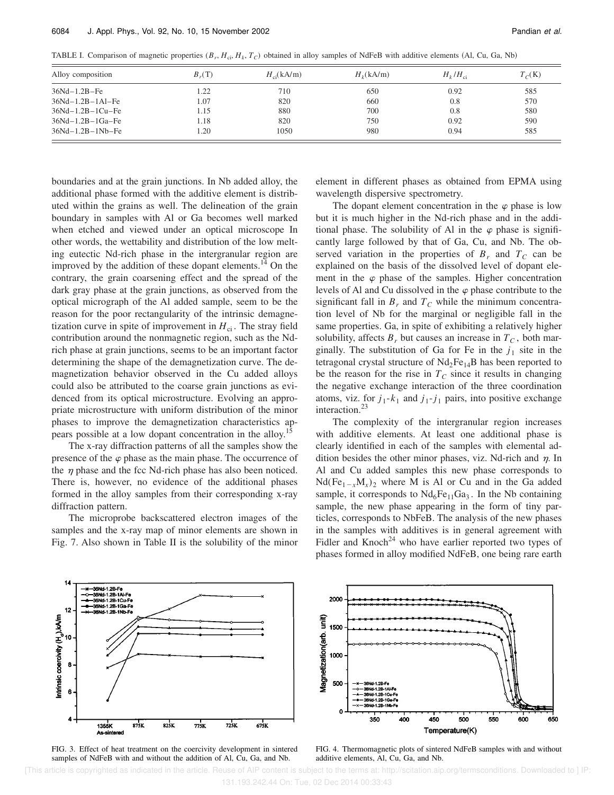|  |  |  |  |  |  | TABLE I. Comparison of magnetic properties $(B_r, H_c, H_k, T_c)$ obtained in alloy samples of NdFeB with additive elements (Al, Cu, Ga, Nb) |  |  |  |  |  |  |  |  |  |
|--|--|--|--|--|--|----------------------------------------------------------------------------------------------------------------------------------------------|--|--|--|--|--|--|--|--|--|
|--|--|--|--|--|--|----------------------------------------------------------------------------------------------------------------------------------------------|--|--|--|--|--|--|--|--|--|

| Alloy composition  | $B_r(T)$ | $H_{ci}(\text{kA/m})$ | $H_k(kA/m)$ | $H_k/H_{ci}$ | $T_C(K)$ |
|--------------------|----------|-----------------------|-------------|--------------|----------|
| $36Nd-1.2B-Fe$     | 1.22     | 710                   | 650         | 0.92         | 585      |
| $36Nd-1.2B-1Al-Fe$ | 1.07     | 820                   | 660         | 0.8          | 570      |
| $36Nd-1.2B-1Cu-Fe$ | 1.15     | 880                   | 700         | 0.8          | 580      |
| $36Nd-1.2B-1Ga-Fe$ | 1.18     | 820                   | 750         | 0.92         | 590      |
| $36Nd-1.2B-1Nb-Fe$ | .20      | 1050                  | 980         | 0.94         | 585      |

boundaries and at the grain junctions. In Nb added alloy, the additional phase formed with the additive element is distributed within the grains as well. The delineation of the grain boundary in samples with Al or Ga becomes well marked when etched and viewed under an optical microscope In other words, the wettability and distribution of the low melting eutectic Nd-rich phase in the intergranular region are improved by the addition of these dopant elements.<sup>14</sup> On the contrary, the grain coarsening effect and the spread of the dark gray phase at the grain junctions, as observed from the optical micrograph of the Al added sample, seem to be the reason for the poor rectangularity of the intrinsic demagnetization curve in spite of improvement in  $H_{\rm ci}$ . The stray field contribution around the nonmagnetic region, such as the Ndrich phase at grain junctions, seems to be an important factor determining the shape of the demagnetization curve. The demagnetization behavior observed in the Cu added alloys could also be attributed to the coarse grain junctions as evidenced from its optical microstructure. Evolving an appropriate microstructure with uniform distribution of the minor phases to improve the demagnetization characteristics appears possible at a low dopant concentration in the alloy.<sup>1</sup>

The x-ray diffraction patterns of all the samples show the presence of the  $\varphi$  phase as the main phase. The occurrence of the  $\eta$  phase and the fcc Nd-rich phase has also been noticed. There is, however, no evidence of the additional phases formed in the alloy samples from their corresponding x-ray diffraction pattern.

The microprobe backscattered electron images of the samples and the x-ray map of minor elements are shown in Fig. 7. Also shown in Table II is the solubility of the minor element in different phases as obtained from EPMA using wavelength dispersive spectrometry.

The dopant element concentration in the  $\varphi$  phase is low but it is much higher in the Nd-rich phase and in the additional phase. The solubility of Al in the  $\varphi$  phase is significantly large followed by that of Ga, Cu, and Nb. The observed variation in the properties of  $B_r$  and  $T_c$  can be explained on the basis of the dissolved level of dopant element in the  $\varphi$  phase of the samples. Higher concentration levels of Al and Cu dissolved in the  $\varphi$  phase contribute to the significant fall in  $B_r$  and  $T_c$  while the minimum concentration level of Nb for the marginal or negligible fall in the same properties. Ga, in spite of exhibiting a relatively higher solubility, affects  $B_r$  but causes an increase in  $T_c$ , both marginally. The substitution of Ga for Fe in the  $j_1$  site in the tetragonal crystal structure of  $Nd<sub>2</sub>Fe<sub>14</sub>B$  has been reported to be the reason for the rise in  $T_c$  since it results in changing the negative exchange interaction of the three coordination atoms, viz. for  $j_1$ - $k_1$  and  $j_1$ - $j_1$  pairs, into positive exchange interaction.<sup>23</sup>

The complexity of the intergranular region increases with additive elements. At least one additional phase is clearly identified in each of the samples with elemental addition besides the other minor phases, viz. Nd-rich and  $\eta$ . In Al and Cu added samples this new phase corresponds to  $Nd(Fe_{1-x}M_x)_2$  where M is Al or Cu and in the Ga added sample, it corresponds to  $Nd_6Fe_{11}Ga_3$ . In the Nb containing sample, the new phase appearing in the form of tiny particles, corresponds to NbFeB. The analysis of the new phases in the samples with additives is in general agreement with Fidler and Knoch<sup>24</sup> who have earlier reported two types of phases formed in alloy modified NdFeB, one being rare earth



FIG. 3. Effect of heat treatment on the coercivity development in sintered samples of NdFeB with and without the addition of Al, Cu, Ga, and Nb.

FIG. 4. Thermomagnetic plots of sintered NdFeB samples with and without additive elements, Al, Cu, Ga, and Nb.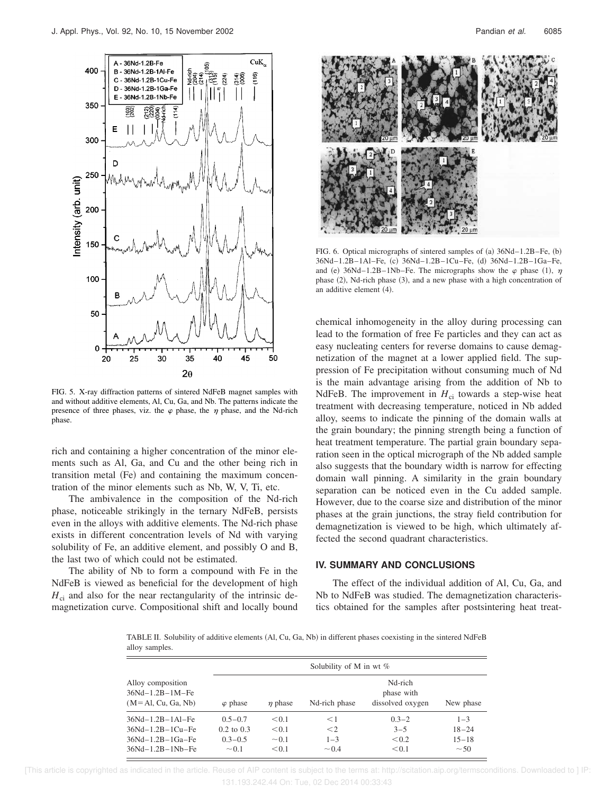

FIG. 5. X-ray diffraction patterns of sintered NdFeB magnet samples with and without additive elements, Al, Cu, Ga, and Nb. The patterns indicate the presence of three phases, viz. the  $\varphi$  phase, the  $\eta$  phase, and the Nd-rich phase.

rich and containing a higher concentration of the minor elements such as Al, Ga, and Cu and the other being rich in transition metal  $(Fe)$  and containing the maximum concentration of the minor elements such as Nb, W, V, Ti, etc.

The ambivalence in the composition of the Nd-rich phase, noticeable strikingly in the ternary NdFeB, persists even in the alloys with additive elements. The Nd-rich phase exists in different concentration levels of Nd with varying solubility of Fe, an additive element, and possibly O and B, the last two of which could not be estimated.

The ability of Nb to form a compound with Fe in the NdFeB is viewed as beneficial for the development of high  $H<sub>ci</sub>$  and also for the near rectangularity of the intrinsic demagnetization curve. Compositional shift and locally bound



FIG. 6. Optical micrographs of sintered samples of  $(a)$  36Nd–1.2B–Fe,  $(b)$ 36Nd-1.2B-1Al-Fe, (c) 36Nd-1.2B-1Cu-Fe, (d) 36Nd-1.2B-1Ga-Fe, and (e) 36Nd–1.2B–1Nb–Fe. The micrographs show the  $\varphi$  phase (1),  $\eta$ phase  $(2)$ , Nd-rich phase  $(3)$ , and a new phase with a high concentration of an additive element (4).

chemical inhomogeneity in the alloy during processing can lead to the formation of free Fe particles and they can act as easy nucleating centers for reverse domains to cause demagnetization of the magnet at a lower applied field. The suppression of Fe precipitation without consuming much of Nd is the main advantage arising from the addition of Nb to NdFeB. The improvement in  $H_{ci}$  towards a step-wise heat treatment with decreasing temperature, noticed in Nb added alloy, seems to indicate the pinning of the domain walls at the grain boundary; the pinning strength being a function of heat treatment temperature. The partial grain boundary separation seen in the optical micrograph of the Nb added sample also suggests that the boundary width is narrow for effecting domain wall pinning. A similarity in the grain boundary separation can be noticed even in the Cu added sample. However, due to the coarse size and distribution of the minor phases at the grain junctions, the stray field contribution for demagnetization is viewed to be high, which ultimately affected the second quadrant characteristics.

## **IV. SUMMARY AND CONCLUSIONS**

The effect of the individual addition of Al, Cu, Ga, and Nb to NdFeB was studied. The demagnetization characteristics obtained for the samples after postsintering heat treat-

TABLE II. Solubility of additive elements (Al, Cu, Ga, Nb) in different phases coexisting in the sintered NdFeB alloy samples.

|                                                                |                       | Solubility of M in wt $%$ |               |                                           |           |  |
|----------------------------------------------------------------|-----------------------|---------------------------|---------------|-------------------------------------------|-----------|--|
| Alloy composition<br>$36Nd-1.2B-1M-Fe$<br>$(M=Al, Cu, Ga, Nb)$ | $\varphi$ phase       | $\eta$ phase              | Nd-rich phase | Nd-rich<br>phase with<br>dissolved oxygen | New phase |  |
| $36Nd-1.2B-1Al-Fe$                                             | $0.5 - 0.7$           | < 0.1                     | $<$ 1         | $0.3 - 2$                                 | $1 - 3$   |  |
| $36Nd-1.2B-1Cu-Fe$                                             | $0.2 \text{ to } 0.3$ | < 0.1                     | $\leq$ 2      | $3 - 5$                                   | $18 - 24$ |  |
| $36Nd-1.2B-1Ga-Fe$                                             | $0.3 - 0.5$           | $\sim 0.1$                | $1 - 3$       | < 0.2                                     | $15 - 18$ |  |
| $36Nd-1.2B-1Nb-Fe$                                             | $\sim 0.1$            | < 0.1                     | $\sim 0.4$    | < 0.1                                     | $\sim$ 50 |  |